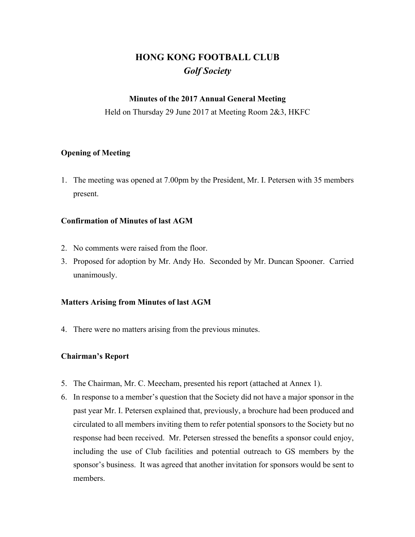# **HONG KONG FOOTBALL CLUB** *Golf Society*

### **Minutes of the 2017 Annual General Meeting**

Held on Thursday 29 June 2017 at Meeting Room 2&3, HKFC

### **Opening of Meeting**

1. The meeting was opened at 7.00pm by the President, Mr. I. Petersen with 35 members present.

### **Confirmation of Minutes of last AGM**

- 2. No comments were raised from the floor.
- 3. Proposed for adoption by Mr. Andy Ho. Seconded by Mr. Duncan Spooner. Carried unanimously.

### **Matters Arising from Minutes of last AGM**

4. There were no matters arising from the previous minutes.

### **Chairman's Report**

- 5. The Chairman, Mr. C. Meecham, presented his report (attached at Annex 1).
- 6. In response to a member's question that the Society did not have a major sponsor in the past year Mr. I. Petersen explained that, previously, a brochure had been produced and circulated to all members inviting them to refer potential sponsors to the Society but no response had been received. Mr. Petersen stressed the benefits a sponsor could enjoy, including the use of Club facilities and potential outreach to GS members by the sponsor's business. It was agreed that another invitation for sponsors would be sent to members.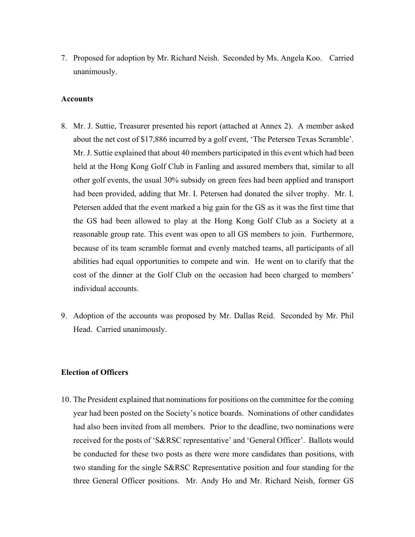7. Proposed for adoption by Mr. Richard Neish. Seconded by Ms. Angela Koo. Carried unanimously.

#### **Accounts**

- 8. Mr. J. Suttie, Treasurer presented his report (attached at Annex 2). A member asked about the net cost of \$17,886 incurred by a golf event, 'The Petersen Texas Scramble'. Mr. J. Suttie explained that about 40 members participated in this event which had been held at the Hong Kong Golf Club in Fanling and assured members that, similar to all other golf events, the usual 30% subsidy on green fees had been applied and transport had been provided, adding that Mr. I. Petersen had donated the silver trophy. Mr. I. Petersen added that the event marked a big gain for the GS as it was the first time that the GS had been allowed to play at the Hong Kong Golf Club as a Society at a reasonable group rate. This event was open to all GS members to join. Furthermore, because of its team scramble format and evenly matched teams, all participants of all abilities had equal opportunities to compete and win. He went on to clarify that the cost of the dinner at the Golf Club on the occasion had been charged to members' individual accounts.
- 9. Adoption of the accounts was proposed by Mr. Dallas Reid. Seconded by Mr. Phil Head. Carried unanimously.

#### **Election of Officers**

10. The President explained that nominations for positions on the committee for the coming year had been posted on the Society's notice boards. Nominations of other candidates had also been invited from all members. Prior to the deadline, two nominations were received for the posts of 'S&RSC representative' and 'General Officer'. Ballots would be conducted for these two posts as there were more candidates than positions, with two standing for the single S&RSC Representative position and four standing for the three General Officer positions. Mr. Andy Ho and Mr. Richard Neish, former GS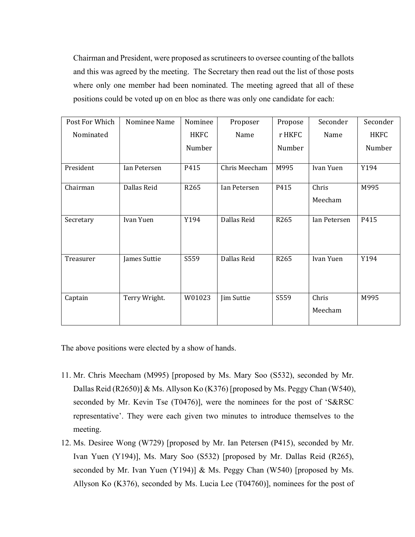Chairman and President, were proposed as scrutineers to oversee counting of the ballots and this was agreed by the meeting. The Secretary then read out the list of those posts where only one member had been nominated. The meeting agreed that all of these positions could be voted up on en bloc as there was only one candidate for each:

| Post For Which | Nominee Name  | Nominee     | Proposer      | Propose | Seconder         | Seconder    |
|----------------|---------------|-------------|---------------|---------|------------------|-------------|
| Nominated      |               | <b>HKFC</b> | Name          | r HKFC  | Name             | <b>HKFC</b> |
|                |               | Number      |               | Number  |                  | Number      |
| President      | Ian Petersen  | P415        | Chris Meecham | M995    | Ivan Yuen        | Y194        |
| Chairman       | Dallas Reid   | R265        | Ian Petersen  | P415    | Chris            | M995        |
|                |               |             |               |         | Meecham          |             |
| Secretary      | Ivan Yuen     | Y194        | Dallas Reid   | R265    | Ian Petersen     | P415        |
| Treasurer      | James Suttie  | S559        | Dallas Reid   | R265    | Ivan Yuen        | Y194        |
| Captain        | Terry Wright. | W01023      | Jim Suttie    | S559    | Chris<br>Meecham | M995        |

The above positions were elected by a show of hands.

- 11. Mr. Chris Meecham (M995) [proposed by Ms. Mary Soo (S532), seconded by Mr. Dallas Reid (R2650)] & Ms. Allyson Ko (K376) [proposed by Ms. Peggy Chan (W540), seconded by Mr. Kevin Tse (T0476)], were the nominees for the post of 'S&RSC representative'. They were each given two minutes to introduce themselves to the meeting.
- 12. Ms. Desiree Wong (W729) [proposed by Mr. Ian Petersen (P415), seconded by Mr. Ivan Yuen (Y194)], Ms. Mary Soo (S532) [proposed by Mr. Dallas Reid (R265), seconded by Mr. Ivan Yuen (Y194)] & Ms. Peggy Chan (W540) [proposed by Ms. Allyson Ko (K376), seconded by Ms. Lucia Lee (T04760)], nominees for the post of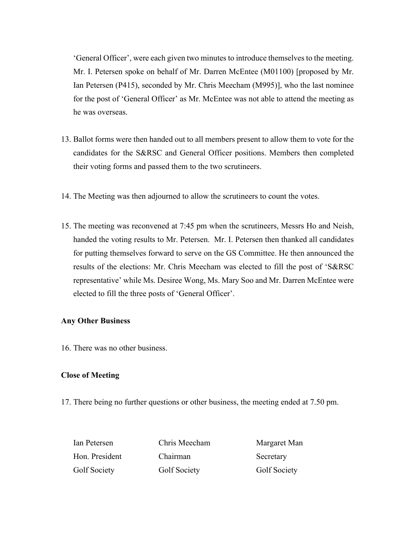'General Officer', were each given two minutes to introduce themselves to the meeting. Mr. I. Petersen spoke on behalf of Mr. Darren McEntee (M01100) [proposed by Mr. Ian Petersen (P415), seconded by Mr. Chris Meecham (M995)], who the last nominee for the post of 'General Officer' as Mr. McEntee was not able to attend the meeting as he was overseas.

- 13. Ballot forms were then handed out to all members present to allow them to vote for the candidates for the S&RSC and General Officer positions. Members then completed their voting forms and passed them to the two scrutineers.
- 14. The Meeting was then adjourned to allow the scrutineers to count the votes.
- 15. The meeting was reconvened at 7:45 pm when the scrutineers, Messrs Ho and Neish, handed the voting results to Mr. Petersen. Mr. I. Petersen then thanked all candidates for putting themselves forward to serve on the GS Committee. He then announced the results of the elections: Mr. Chris Meecham was elected to fill the post of 'S&RSC representative' while Ms. Desiree Wong, Ms. Mary Soo and Mr. Darren McEntee were elected to fill the three posts of 'General Officer'.

#### **Any Other Business**

16. There was no other business.

#### **Close of Meeting**

17. There being no further questions or other business, the meeting ended at 7.50 pm.

| Ian Petersen   | Chris Meecham | Margaret Man |
|----------------|---------------|--------------|
| Hon. President | Chairman      | Secretary    |
| Golf Society   | Golf Society  | Golf Society |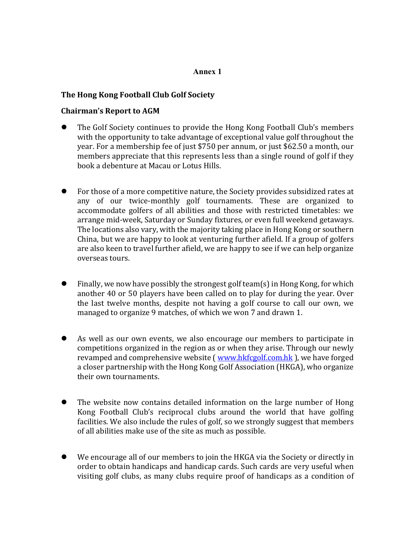### **Annex 1**

### **The Hong Kong Football Club Golf Society**

### **Chairman's Report to AGM**

- The Golf Society continues to provide the Hong Kong Football Club's members with the opportunity to take advantage of exceptional value golf throughout the year. For a membership fee of just \$750 per annum, or just \$62.50 a month, our members appreciate that this represents less than a single round of golf if they book a debenture at Macau or Lotus Hills.
- For those of a more competitive nature, the Society provides subsidized rates at any of our twice-monthly golf tournaments. These are organized to accommodate golfers of all abilities and those with restricted timetables: we arrange mid-week, Saturday or Sunday fixtures, or even full weekend getaways. The locations also vary, with the majority taking place in Hong Kong or southern China, but we are happy to look at venturing further afield. If a group of golfers are also keen to travel further afield, we are happy to see if we can help organize overseas tours.
- Finally, we now have possibly the strongest golf team(s) in Hong Kong, for which another 40 or 50 players have been called on to play for during the year. Over the last twelve months, despite not having a golf course to call our own, we managed to organize 9 matches, of which we won 7 and drawn 1.
- As well as our own events, we also encourage our members to participate in competitions organized in the region as or when they arise. Through our newly revamped and comprehensive website (*www.hkfcgolf.com.hk*), we have forged a closer partnership with the Hong Kong Golf Association (HKGA), who organize their own tournaments.
- The website now contains detailed information on the large number of Hong Kong Football Club's reciprocal clubs around the world that have golfing facilities. We also include the rules of golf, so we strongly suggest that members of all abilities make use of the site as much as possible.
- We encourage all of our members to join the HKGA via the Society or directly in order to obtain handicaps and handicap cards. Such cards are very useful when visiting golf clubs, as many clubs require proof of handicaps as a condition of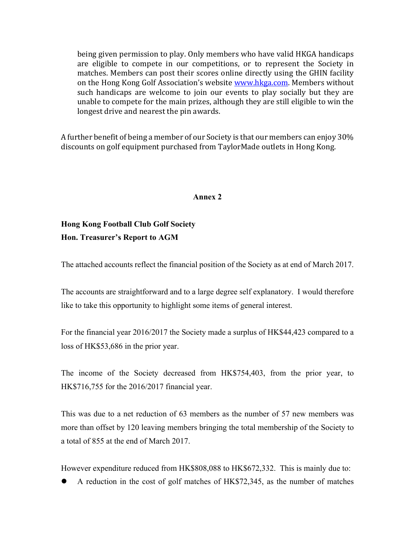being given permission to play. Only members who have valid HKGA handicaps are eligible to compete in our competitions, or to represent the Society in matches. Members can post their scores online directly using the GHIN facility on the Hong Kong Golf Association's website **www.hkga.com.** Members without such handicaps are welcome to join our events to play socially but they are unable to compete for the main prizes, although they are still eligible to win the longest drive and nearest the pin awards.

A further benefit of being a member of our Society is that our members can enjoy 30% discounts on golf equipment purchased from TaylorMade outlets in Hong Kong.

#### **Annex 2**

## **Hong Kong Football Club Golf Society Hon. Treasurer's Report to AGM**

The attached accounts reflect the financial position of the Society as at end of March 2017.

The accounts are straightforward and to a large degree self explanatory. I would therefore like to take this opportunity to highlight some items of general interest.

For the financial year 2016/2017 the Society made a surplus of HK\$44,423 compared to a loss of HK\$53,686 in the prior year.

The income of the Society decreased from HK\$754,403, from the prior year, to HK\$716,755 for the 2016/2017 financial year.

This was due to a net reduction of 63 members as the number of 57 new members was more than offset by 120 leaving members bringing the total membership of the Society to a total of 855 at the end of March 2017.

However expenditure reduced from HK\$808,088 to HK\$672,332. This is mainly due to:

l A reduction in the cost of golf matches of HK\$72,345, as the number of matches